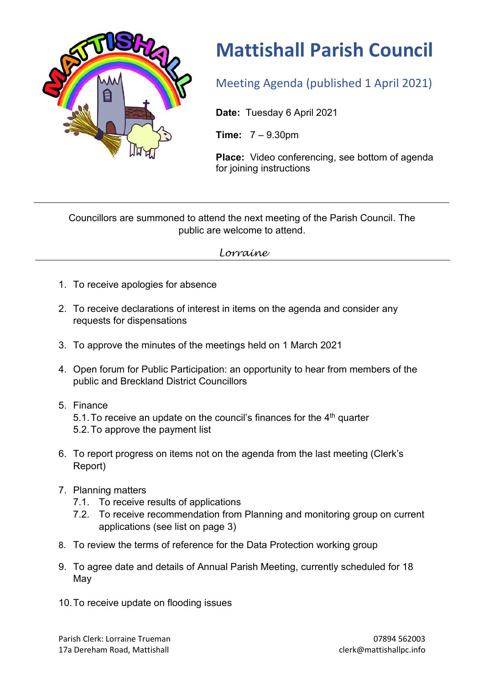

## **Mattishall Parish Council**

Meeting Agenda (published 1 April 2021)

**Date:** Tuesday 6 April 2021

**Time:** 7 – 9.30pm

**Place:** Video conferencing, see bottom of agenda for joining instructions

Councillors are summoned to attend the next meeting of the Parish Council. The public are welcome to attend.

## *Lorraine*

- 1. To receive apologies for absence
- 2. To receive declarations of interest in items on the agenda and consider any requests for dispensations
- 3. To approve the minutes of the meetings held on 1 March 2021
- 4. Open forum for Public Participation: an opportunity to hear from members of the public and Breckland District Councillors
- 5. Finance 5.1. To receive an update on the council's finances for the  $4<sup>th</sup>$  quarter 5.2.To approve the payment list
- 6. To report progress on items not on the agenda from the last meeting (Clerk's Report)
- 7. Planning matters
	- 7.1. To receive results of applications
	- 7.2. To receive recommendation from Planning and monitoring group on current applications (see list on page 3)
- 8. To review the terms of reference for the Data Protection working group
- 9. To agree date and details of Annual Parish Meeting, currently scheduled for 18 May
- 10.To receive update on flooding issues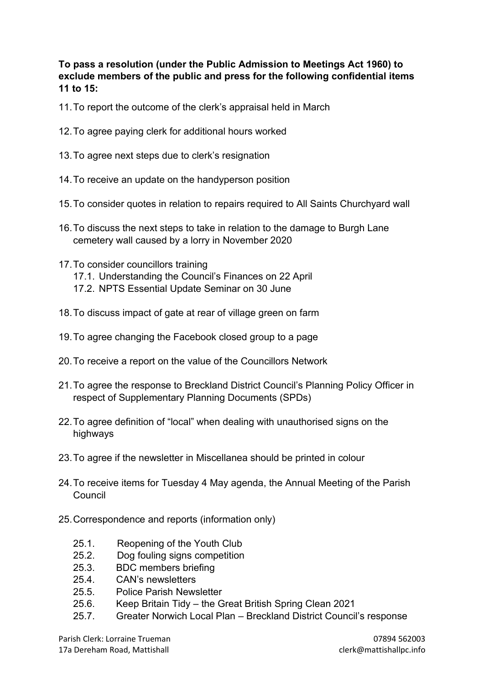**To pass a resolution (under the Public Admission to Meetings Act 1960) to exclude members of the public and press for the following confidential items 11 to 15:** 

- 11.To report the outcome of the clerk's appraisal held in March
- 12.To agree paying clerk for additional hours worked
- 13.To agree next steps due to clerk's resignation
- 14.To receive an update on the handyperson position
- 15.To consider quotes in relation to repairs required to All Saints Churchyard wall
- 16.To discuss the next steps to take in relation to the damage to Burgh Lane cemetery wall caused by a lorry in November 2020
- 17.To consider councillors training
	- 17.1. Understanding the Council's Finances on 22 April
	- 17.2. NPTS Essential Update Seminar on 30 June
- 18.To discuss impact of gate at rear of village green on farm
- 19.To agree changing the Facebook closed group to a page
- 20.To receive a report on the value of the Councillors Network
- 21.To agree the response to Breckland District Council's Planning Policy Officer in respect of Supplementary Planning Documents (SPDs)
- 22.To agree definition of "local" when dealing with unauthorised signs on the highways
- 23.To agree if the newsletter in Miscellanea should be printed in colour
- 24.To receive items for Tuesday 4 May agenda, the Annual Meeting of the Parish Council
- 25.Correspondence and reports (information only)
	- 25.1. Reopening of the Youth Club
	- 25.2. Dog fouling signs competition
	- 25.3. BDC members briefing
	- 25.4. CAN's newsletters
	- 25.5. Police Parish Newsletter
	- 25.6. Keep Britain Tidy the Great British Spring Clean 2021
	- 25.7. Greater Norwich Local Plan Breckland District Council's response